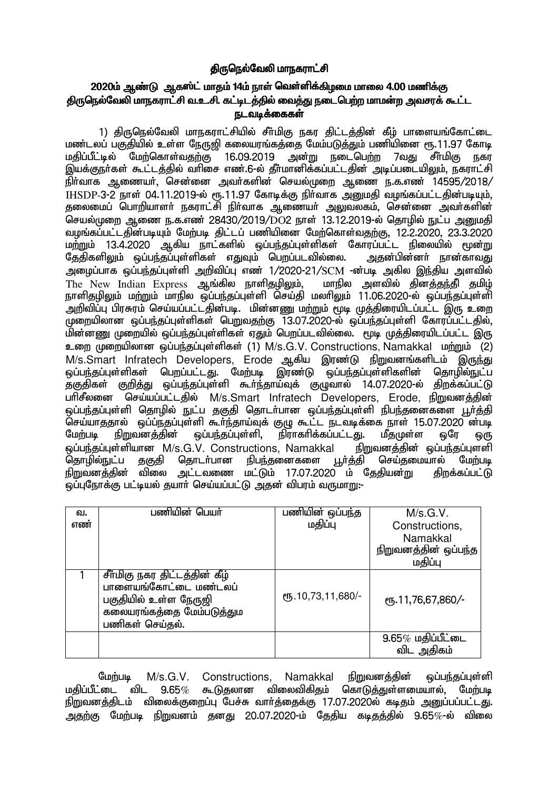# <u>கிருநெல்வேலி மாநகராட்சி</u>

## 2020ம் ஆண்டு ஆகஸ்ட் மாதம் 14ம் நாள் வெள்ளிக்கிழமை மாலை 4.00 மணிக்கு திருநெல்வேலி மாநகராட்சி வ.உ.சி. கட்டிடத்தில் வைத்து நடைபெற்ற மாமன்ற அவசரக் கூட்ட ௫டவடிக்கைகள்

1) திருநெல்வேலி மாநகராட்சியில் சீா்மிகு நகர திட்டத்தின் கீழ் பாளையங்கோட்டை மண்டலப் பகுதியில் உள்ள நேருவி கலையாங்கக்கை மேம்படுக்கும் பணியினை ரூ.11.97 கோடி மதிப்பீட்டில் மேற்கொள்வதற்கு 16.09.2019 அன்று நடைபெற்ற 7வது சீா்மிகு நகர இயக்குநா்கள் கூட்டத்தில் வாிசை எண்.6-ல் தீா்மானிக்கப்பட்டதின் அடிப்படையிலும், நகராட்சி நிர்வாக ஆணையர், சென்னை அவர்களின் செயல்முறை ஆணை ந.க.எண் 14595/2018/  $I$ HSDP-3-2 நாள் 04.11.2019-ல் ரூ.11.97 கோடிக்கு நிர்வாக அமைகி வமங்கப்பட்டகின்படியம். தலைமைப் பொறியாளர் நகராட்சி நிர்வாக ஆணையர் அலுவலகம், சென்னை அவர்களின் செயல்முறை ஆணை ந.க.எண் 28430/2019/DO2 நாள் 13.12.2019-ல் தொழில் நுட்ப அறுமதி toq;fg;gl;ljpd;gbAk; Nkw;gb jpl;lg; gzpapid Nkw;nfhs;tjw;F> 12.2.2020> 23.3.2020 மற்றும் 13.4.2020 ஆகிய நாட்களில் ஒப்பந்தப்புள்ளிகள் கோரப்பட்ட நிலையில் மூன்று<br>தேதிகளிலும் ஒப்பந்தப்புள்ளிகள் எதுவும் பெறப்படவில்லை. அதன்பின்னா் நான்காவது தேதிகளிலும் ஒப்பந்தப்புள்ளிகள் எதுவும் பெறப்படவில்லை. அழைப்பாக ஒப்பந்தப்புள்ளி அறிவிப்பு எண் 1/2020-21/SCM -ன்படி அகில இந்திய அளவில் The New Indian Express ஆங்கில நாளிகுமிலும், மாநில அளவில் கினக்குந்தி குமிழ் நாளிதழிலும் மற்றும் மாநில ஒப்பந்தப்புள்ளி செய்தி மலரிலும் 11.06.2020-ல் ஒப்பந்தப்பள்ளி .<br>அறிவிப்பு பிரசுரம் செய்யப்பட்டதின்படி. மின்னணு மற்றும் மூடி முத்திரையிடப்பட்ட இரு உறை  $\bar{\psi}$ மறையிலான ஒப்பந்தப்புள்ளிகள் பெறுவதற்கு 13.07.2020-ல் ஒப்பந்தப்புள்ளி கோரப்பட்டதில், ்மின்னணு முறையில் ஒப்பந்தப்புள்ளிகள் ஏதும் பெறப்படவில்லை. மூடி முத்திரையிடப்பட்ட இரு உறை முறையிலான ஒப்பந்தப்புள்ளிகள் (1) M/s.G.V. Constructions, Namakkal மற்றும் (2) M/s.Smart Infratech Developers, Erode ஆகிய இரண்டு நிறுவனங்களிடம் இருந்து ஒப்பந்தப்புள்ளிகள் பெறப்பட்டது. மேற்படி இரண்டு ஒப்பந்தப்புள்ளிகளின் தொழில்நுட்ப .<br>தகுதிகள் குறித்து ஒப்பந்தப்புள்ளி கூா்ந்தாய்வுக் குழுவால் 14.07.2020-ல் திறக்கப்பட்டு பரிசீலனை செய்யப்பட்டதில் M/s.Smart Infratech Developers, Erode, நிறுவனத்தின் <u>ஒ</u>ப்பந்தப்புள்ளி தொழில் நுட்ப தகுதி தொடர்பான ஒப்பந்தப்புள்ளி நிபந்தனைகளை பூர்த்தி செய்யாததால் ஒப்ப்நதப்புள்ளி கூர்ந்தாய்வுக் குழு கூட்ட நடவடிக்கை நாள் 15.07.2020 ன்படி மேற்படி நிறுவனத்தின் ஒப்பந்தப்புள்ளி, நிராகரிக்கப்பட்டது. மீதமுள்ள ஒரே ஒரு ஒப்பந்தப்புள்ளியான M/s.G.V. Constructions, Namakkal நிறுவனத்தின் ஒப்பந்தப்புளளி<br>தொழில்நுட்ப தகுதி தொடா்பான நிபந்தனைகளை பூா்த்தி செய்தமையால் மேற்படி நிபந்தனைகளை நிறுவனத்தின் விலை அட்டவணை மட்டும் 17.07.2020 ம் தேதியன்று திறக்கப்பட்டு ஒப்புநோக்கு பட்டியல் தயார் செய்யப்பட்டு அதன் விபரம் வருமாறு:-

| வ.  | பணியின் பெயர்                 | பணியின் ஒப்பந்த   | M/s.G.V.             |
|-----|-------------------------------|-------------------|----------------------|
| எண் |                               | மதிப்பு           | Constructions,       |
|     |                               |                   | Namakkal             |
|     |                               |                   | நிறுவனத்தின் ஒப்பந்த |
|     |                               |                   | மதிப்பு              |
|     | சீர்மிகு நகர திட்டத்தின் கீழ் |                   |                      |
|     | பாளையங்கோட்டை மண்டலப்         |                   |                      |
|     | பகுதியில் உள்ள நேருஜி         | ரு.10,73,11,680/- | ரு.11,76,67,860/-    |
|     | கலையரங்கத்தை மேம்படுத்தும     |                   |                      |
|     | பணிகள் செய்தல்.               |                   |                      |
|     |                               |                   | $9.65\%$ மதிப்பீட்டை |
|     |                               |                   | விட அதிகம்           |

மேற்படி M/s.G.V. Constructions, Namakkal நிறுவனத்தின் ஒப்பந்தப்புள்ளி<br>மகிப்பீட்டை விட 9.65% கூடுகலான விலைவிகிதம் கொடுத்துள்ளமையால், மேற்படி  $9.65\%$  கூடுதலான விலைவிகிதம் கொடுத்துள்ளமையால், மேற்படி நிறுவனத்திடம் விலைக்குறைப்பு பேச்சு வார்த்தைக்கு 17.07.2020ல் கடிதம் அனுப்பப்பட்டது. அதற்கு மேற்படி நிறுவனம் தனது 20.07.2020-ம் தேதிய கடிதத்தில் 9.65 $\%$ -ல் விலை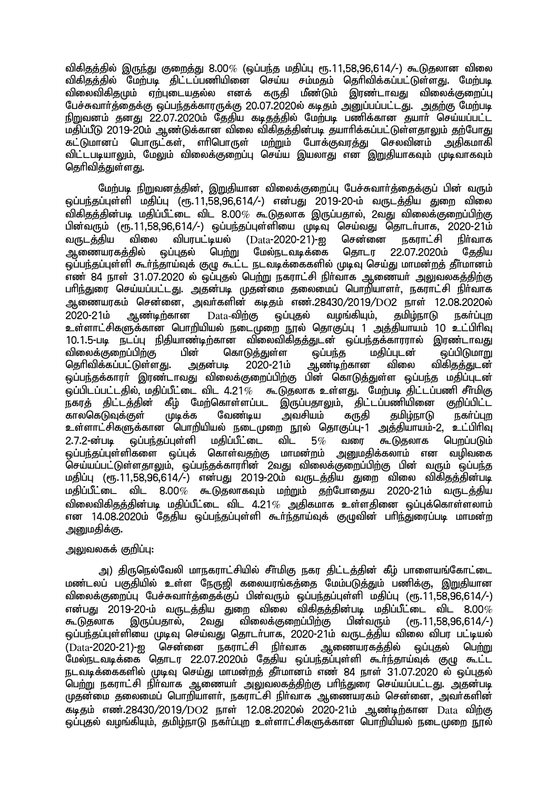விகிதத்தில் இருந்து குறைத்து 8.00 $\%$  (ஒப்பந்த மதிப்பு ரூ.11.58.96.614/-) கூடுதலான விலை விகிதத்தில் மேற்படி திட்டப்பணியினை செய்ய சம்மதம் தெரிவிக்கப்பட்டுள்ளது. மேற்படி விலைவிகிதமும் ஏற்புடையதல்ல எனக் கருதி மீண்டும் இரண்டாவது விலைக்குறைப்பு பேச்சுவார்த்தைக்கு ஒப்பந்தக்காரருக்கு 20.07.2020ல் கடிதம் அனுப்பப்பட்டது. அதற்கு மேற்படி நிறுவனம் தனது 22.07.2020ம் தேதிய கடிதத்தில் மேற்படி பணிக்கான தயார் செய்யப்பட்ட மதிப்பீடு 2019-20ம் ஆண்டுக்கான விலை விகிதத்தின்படி தயாரிக்கப்பட்டுள்ளதாலும் கற்போது கட்டுமானப் பொருட்கள், எரிபொருள் மற்றும் போக்குவரத்து செலவினம் அதிகமாகி விட்டபடியாலும், மேலும் விலைக்குறைப்பு செய்ய இயலாகு என<sup>்</sup> இறுகியாகவும் முடிவாகவும் தெரிவித்துள்ளது.

மேற்படி நிறுவனத்தின், இறுதியான விலைக்குறைப்பு பேச்சுவார்த்தைக்குப் பின் வரும்  $\tilde{\omega}$ ப்பந்தப்புள்ளி மதிப்பு (ரூ.11.58.96.614/-) என்பது 2019-20-ம் வருடத்திய துறை விலை விகிதத்தின்படி மதிப்பீட்டை விட 8.00 $\%$  கூடுதலாக இருப்பதால், 2வது விலைக்குறைப்பிற்கு பின்வரும் (ரூ.11,58,96,614/-) ஒப்பந்தப்புள்ளியை முடிவு செய்வது தொடர்பாக, 2020-21ம் வருடத்திய விலை விபரபட்டியல் (Data-2020-21)-ஐ சென்னை நகராட்சி நிர்வாக<br>ஆணையரகத்தில் ஒப்புதல் பெற்று மேல்நடவடிக்கை தொடர 22.07.2020ம் கேகிய .<br>ஓப்புகல் பெற்று மேல்நடவடிக்கை ஒப்பந்தப்புள்ளி கூர்ந்தாய்வுக் குழு கூட்ட நடவடிக்கைகளில் முடிவு செய்து மாமன்றத் தீா்மானம் எண் 84 நாள் 31.07.2020 ல் ஒப்புதல் பெற்று நகராட்சி நிர்வாக ஆணையர் அலுவலகத்திற்கு பரிந்துரை செய்யப்பட்டது. அதன்படி முதன்மை தலைமைப் பொறியாளா், நகராட்சி நிா்வாக ஆணையரகம் சென்னை, அவர்களின் கடிதம் எண்.28430/2019/DO2 நாள் 12.08.2020ல்<br>2020-21ம் ஆண்டிற்கான Data-விற்கு லப்புகல் வழங்கியும், கமிழ்நாடு நகர்ப்புற  $2020$ - $21$ ம் ஆண்டிற்கான  $Data$ -விற்கு ஒப்புகல் வழங்கியும், சுமிம்நாடு நகர்ப்பற உள்ளாட்சிகளுக்கான பொறியியல் நடைமுறை நூல் தொகுப்பு 1 அத்தியாயம் 10 உட்பிரிவு 10.1.5-படி நடப்பு நிதியாண்டிற்கான விலைவிகிதத்துடன் ஒப்பந்தக்காரரால் இரண்டாவது<br>விலைக்குறைப்பிற்கு பின் கொடுத்துள்ள ஒப்பந்த மதிப்புடன் ஒப்பிடுமாறு விலைக்குறைப்பிற்கு பின் கொடுத்துள்ள தப்பந்த மதிப்புடன் தப்பிடுமாறு<br>தெரிவிக்கப்பட்டுள்ளது. அதன்படி 2020-21ம் ஆண்டிற்கான விலை விகி<u>கத்கு</u>டன் தெரிவிக்கப்பட்டுள்ளது. ஒப்பந்தக்காரா் இரண்டாவது விலைக்குறைப்பிற்கு பின் கொடுத்துள்ள ஒப்பந்த மதிப்புடன்  $\widetilde{\phi}$ ப்பிடப்பட்டதில், மதிப்பீட்டை விட 4.21 $\%$  கூடுதலாக உள்ளது. மேற்படி திட்டப்பணி சீர்மிகு .<br>நகரத் திட்டத்தின் கீழ் மேற்கொள்ளப்பட இருப்பதாலும், திட்டப்பணியினை குறிப்பிட்ட<br>காலகெடுவுக்குள் முடிக்க வேண்டிய அவசியம் கருதி தமிழ்நாடு நகா்ப்புற காலகெடுவக்குள் உள்ளாட்சிகளுக்கான பொறியியல் நடைமுறை நூல் தொகுப்பு-1 அத்தியாயம்-2, உட்பிரிவு<br>2.7.2-ன்பட வப்பந்கப்பள்ளி மகிப்பீட்டை விட 5% வரை கூடுதலாக பெறப்படும் 2.7.2-ன்படி ஒப்பந்தப்புள்ளி மதிப்பீட்டை விட 5% வரை கூடுதலாக பெறப்படும்<br>ஒப்பந்தப்புள்ளிகளை ஒப்புக் கொள்வதற்கு மாமன்றம் அறைகிக்கலாம் என வமிவகை ஒப்பந்தப்புள்ளிகளை ஒப்புக் கொள்வதற்கு மாமன்றம் .<br>செய்யப்பட்டுள்ளதாலும், ஒப்பந்தக்காராின் 2வது விலைக்குறைப்பிற்கு பின் வரும் ஒப்பந்த மதிப்பு (ரூ.11,58,96,614/-) என்பது 2019-20ம் வருடத்திய துறை விலை விகிதத்தின்படி  $\mu$ திப்பீட்டை விட 8.00 $\%$  கூடுதலாகவும் மற்றும் தற்போதைய 2020-21ம் வருடத்திய விலைவிகிதத்தின்படி மதிப்பீட்டை விட 4.21 $\%$  அதிகமாக உள்ளதினை ஒப்புக்கொள்ளலாம் என 14.08.2020ம் தேதிய ஒப்பந்தப்புள்ளி கூர்ந்தாய்வுக் குழுவின் பரிந்துரைப்படி மாமன்ற அறுமகிக்கு.

### அலுவலகக் குறிப்பு:

அ) திருநெல்வேலி மாநகராட்சியில் சீா்மிகு நகர திட்டத்தின் கீழ் பாளையங்கோட்டை மண்டலப் பகுதியில் உள்ள நேருஜி கலையரங்கத்தை மேம்படுத்தும் பணிக்கு, <u>இறு</u>தியான விலைக்குறைப்பு பேச்சுவார்த்தைக்குப் பின்வரும் ஒப்பந்தப்புள்ளி மதிப்பு (ரூ.11,58,96,614/-) என்பது 2019-20-ம் வருடத்திய துறை விலை விகிதத்தின்படி மதிப்பீட்டை விட 8.00 $\%$ <br>கூடுதலாக இருப்பதால், 2வது விலைக்குரைப்பிற்கு பின்வரும் (ரூ.11.58.96.614/-) விலைக்குறைப்பிற்கு <u>ஓப்பந்தப்புள்ளியை முடிவு செய்வது தொடர்பாக, 2020-21ம் வருடத்திய விலை விபர பட்டியல் </u> (Data-2020-21)-ஐ சென்னை நகராட்சி நிர்வாக ஆணையரகத்தில் ஒப்புதல் பெற்று .<br>மேல்நடவடிக்கை தொடர 22.07.2020ம் தேதிய ஒப்பந்தப்புள்ளி கூர்ந்தாய்வுக் குழு கூட்ட நடவடிக்கைகளில் முடிவு செய்து மாமன்றத் தீர்மானம் எண் 84 நாள் 31.07.2020 ல் ஒப்புதல் .<br>பெற்று நகராட்சி நிர்வாக ஆணையர் <u>அலு</u>வலகத்திற்கு பரிந்துரை செய்யப்பட்டது. அதன்படி முதன்மை தலைமைப் பொறியாளா், நகராட்சி நிா்வாக ஆணையரகம் சென்னை, அவா்களின் கடிதம் எண்.28430/2019/DO2 நாள் 12.08.2020ல் 2020-21ம் ஆண்டிற்கான Data விற்கு <u>ஒப்புத</u>ல் வழங்கியும், தமிழ்நாடு நகர்ப்புற உள்ளாட்சிகளுக்கான பொறியியல் நடைமுறை நூல்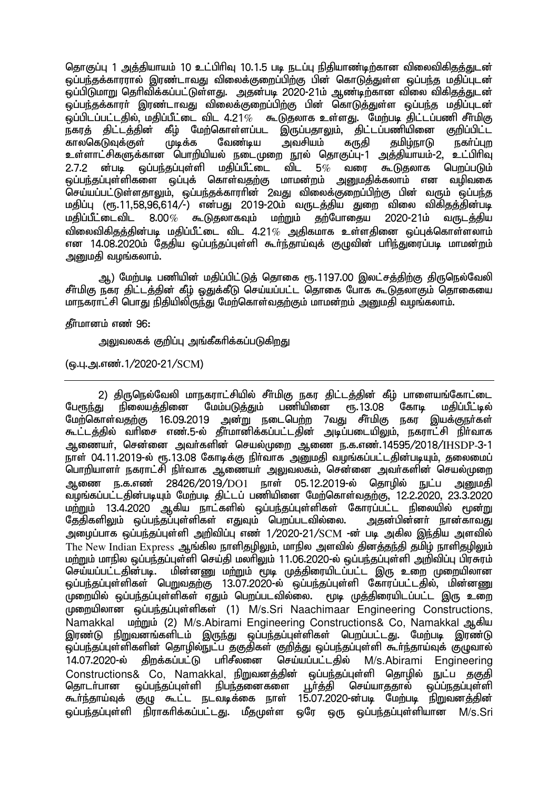தொகுப்பு 1 அக்கியாயம் 10 உட்பிரிவு 10.1.5 படி நடப்பு நிகியாண்டிற்கான விலைவிகிகுக்குடன் <u>ஓப்பந்த</u>க்காரரால் இரண்டாவது விலைக்குறைப்பிற்கு பின் கொடுத்துள்ள ஒப்பந்த மதிப்புடன் ்லப்பிடுமாறு தெரிவிக்கப்பட்டுள்ளது. அதன்படி 2020-21ம் ஆண்டிற்கான விலை விகிகுத்துடன் ஒப்பந்தக்காரா் இரண்டாவது விலைக்குறைப்பிற்கு பின் கொடுத்துள்ள ஒப்பந்த மதிப்புடன்<br>ஒப்பிடப்பட்டதில் மதிப்பீட்டை விட 4.21*%* கூடுதலாக உள்ளது. மேற்படி திட்டப்பணி சீா்மிகு ் கூடுதலாக உள்ளது. மேற்படி திட்டப்பணி சீா்மிகு<br>ட இருப்பதாலும், திட்டப்பணியினை குறிப்பிட்ட நகரத் திட்டத்தின் கீழ் மேற்கொள்ளப்பட இருப்பதாலும், திட்டப்பணியினை<br>காலகெடுவுக்குள் முடிக்க வேண்டிய அவசியம் கருகி கமிம்நாடு காலகெடுவுக்குள் முடிக்க வேண்டிய அவசியம் கருதி தமிழ்நாடு நகா்ப்புற உள்ளாட்சிகளுக்கான பொறியியல் நடைமுறை நூல் தொகுப்பு-1 அத்தியாயம்-2, உட்பிரிவு 2.7.2 <mark>ன்படி ஒப்பந்தப்புள்ளி மதிப்பீட்டை விட 5</mark>% வரை கூடுதலாக பெறப்படும்<br>ஒப்பந்தப்புள்ளிகளை ஒப்புக் கொள்வதற்கு மாமன்றம் அனுமதிக்கலாம் என வழிவகை <u>ஒப்பந்த</u>ப்புள்ளிகளை ஒப்புக் கொள்வதற்கு செய்யப்பட்டுள்ளதாலும், ஒப்பந்தக்காரரின் 2வது விலைக்குறைப்பிற்கு பின் வரும் ஒப்பந்த மதிப்பு (ரூ.11,58,96,614/-) என்பது 2019-20ம் வருடத்திய துறை விலை விகிதத்தின்படி<br>மகிப்பீட்டைவிட 8.00*%* கூடுகலாகவும் மற்றும் கற்போகைய 2020-21ம் வருடக்கிய  $8.00\%$  கூடுகலாகவும் மற்றும் கற்போகைய 2020-21ம் வருடக்கிய விலைவிகிதத்தின்படி மதிப்பீட்டை விட 4.21 $\%$  அதிகமாக உள்ளதினை ஒப்புக்கொள்ளலாம் என 14.08.2020ம் தேதிய ஒப்பந்தப்புள்ளி கூர்ந்தாய்வுக் குழுவின் பரிந்துரைப்படி மாமன்றம் அனுமதி வழங்கலாம்.

ஆ) மேற்படி பணியின் மதிப்பிட்டுத் தொகை ரூ.1197.00 இலட்சத்திற்கு திருநெல்வேலி சீர்மிகு நகர திட்டத்தின் கீழ் ஒதுக்கீடு செய்யப்பட்ட தொகை போக கூடுதலாகும் தொகையை மாநகராட்சி பொது நிதியிலிருந்து மேற்கொள்வதற்கும் மாமன்றம் அனுமதி வழங்கலாம்.

#### கீர்மானம் எண் 96:

அலுவலகக் குறிப்பு அங்கீகரிக்கப்படுக<u>ிறத</u>ு

(ஒ.பு.அ.எண்.1/2020-21/SCM)

2) திருநெல்வேலி மாநகராட்சியில் சீா்மிகு நகர திட்டத்தின் கீழ் பாளையங்கோட்டை<br>பேரூந்து நிலையத்தினை மேம்படுத்தும் பணியினை ரூ.13.08 கோடி மதிப்பீட்டில் நிலையக்கினை மேற்கொள்வதற்கு 16.09.2019 அன்று நடைபெற்ற 7வது சீர்மிகு நகர இயக்குநர்கள் .<br>கூட்டத்தில் வரிசை எண்.5-ல் தீர்மானிக்கப்பட்டதின் அடிப்படையிலும், நகராட்சி நிர்வாக அணையர், சென்னை அவர்களின் செயல்முறை ஆணை ந.க.எண்.14595/2018/IHSDP-3-1 நாள் 04.11.2019-ல் ரூ.13.08 கோடிக்கு நிர்வாக அறைகி வழங்கப்பட்டகின்படியும். கலைமைப் பொறியாளர் நகராட்சி நிர்வாக ஆணையர் அலுவலகம், சென்னை அவர்களின் செயல்முறை ஆணை ந.க.எண் 28426/2019/DO1 நாள் 05.12.2019-ல் தொழில் நுட்ப அறுமதி مِنْ *بِيِّنْ وَالْمِيَوْمِيَةِ الْمِيْتَامِيَة* الْمَصْلِحِينَ وَالْمَسْتَقْبِينَ وَالْمَسْتَقْبَةِ مِنْ 12.2.2020, 23.3.2020 مِنْ 2020 مِنْ மற்றும் 13.4.2020 ஆகிய நாட்களில் ஒப்பந்தப்புள்ளிகள் கோரப்பட்ட நிலையில் மூன்று<br>தேதிகளிலும் ஒப்பந்தப்புள்ளிகள் எதுவும் பெறப்படவில்லை. அதன்பின்னா் நான்காவது தேதிகளிலும் ஒப்பந்தப்புள்ளிகள் எதுவும் பெறப்படவில்லை. அழைப்பாக ஒப்பந்தப்புள்ளி அறிவிப்பு எண் 1/2020-21/SCM -ன் படி அகில இந்திய அளவில் The New Indian Express ஆங்கில நாளிதழிலும், மாநில அளவில் தினத்தந்தி தமிழ் நாளிதழிலும் மற்றும் மாநில ஒப்பந்தப்புள்ளி செய்தி மலாிலும் 11.06.2020-ல் ஒப்பந்தப்புள்ளி அறிவிப்பு பிரசுரம் செய்யப்பட்டதின்படி. மின்னணு மற்றும் மூடி முத்திரையிடப்பட்ட இரு உறை முறையிலான <u>ஓப்பந்தப்புள்ளிகள் பெறுவதற்கு 13.07.2020-ல் ஒப்பந்தப்புள்ளி கோரப்பட்டதில், மின்னணு</u> முறையில் ஒப்பந்தப்புள்ளிகள் ஏதும் பெறப்படவில்லை. மூடி முத்திரையிடப்பட்ட இரு உறை முறையிலான ஒப்பந்தப்புள்ளிகள் (1) M/s.Sri Naachimaar Engineering Constructions, Namakkal மற்றும் (2) M/s.Abirami Engineering Constructions& Co, Namakkal ஆகிய இரண்டு நிறுவனங்களிடம் இருந்து ஒப்பந்தப்புள்ளிகள் பெறப்பட்டது. மேற்படி இரண்டு .<br>ஒப்பந்தப்புள்ளிகளின் தொழில்நுட்ப தகுதிகள் குறித்து ஒப்பந்தப்புள்ளி கூர்ந்தாய்வுக் குழுவால் 14.07.2020-ல் திறக்கப்பட்டு பரிசீலனை செய்யப்பட்டதில் M/s.Abirami Engineering Constructions& Co, Namakkal, நிறுவனத்தின் ஒப்பந்தப்புள்ளி தொழில் நுட்ப தகுதி<br>தொடா்பான ஒப்பந்தப்புள்ளி நிபந்தனைகளை பூா்த்தி செய்யாததால் ஒப்ப்நதப்புள்ளி நிபந்தனைகளை <u>பூர்த்</u>தி கூர்ந்தாய்வுக் குழு கூட்ட நடவடிக்கை நாள் 15.07.2020-ன்படி மேற்படி நிறுவனத்தின் ஒப்பந்தப்புள்ளி நிராகரிக்கப்பட்டது. மீதமுள்ள ஒரே ஒரு ஒப்பந்தப்புள்ளியான M/s.Sri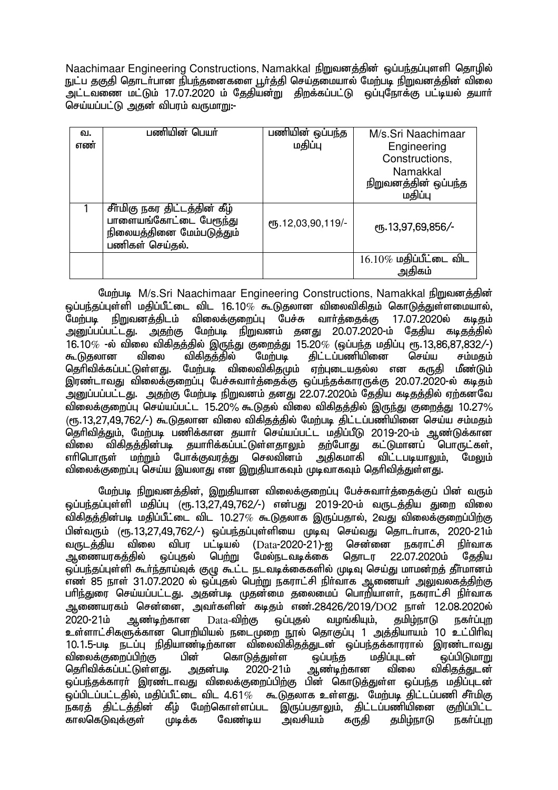Naachimaar Engineering Constructions, Namakkal நிறுவனத்தின் ஒப்பந்தப்புளளி கொழில் நுட்ப தகுதி தொடர்பான நிபந்தனைகளை பூர்த்தி செய்தமையால் மேற்படி நிறுவனத்தின் விலை அட்டவணை மட்டும் 17.07.2020 ம் தேதியன்று திறக்கப்பட்டு ஒப்புநோக்கு பட்டியல் தயார் செய்யப்பட்டு அதன் விபரம் வருமாறு:-

| வ.  | பணியின் பெயர்                                                                        | பணியின் ஒப்பந்த        | M/s.Sri Naachimaar        |
|-----|--------------------------------------------------------------------------------------|------------------------|---------------------------|
| எண் |                                                                                      | மதிப்பு                | Engineering               |
|     |                                                                                      |                        | Constructions,            |
|     |                                                                                      |                        | Namakkal                  |
|     |                                                                                      |                        | நிறுவனத்தின் ஒப்பந்த      |
|     |                                                                                      |                        | மகிப்பு                   |
|     | சீர்மிகு நகர திட்டத்தின் கீழ்<br>பாளையங்கோட்டை பேரூந்து<br>நிலையத்தினை மேம்படுத்தும் | СПБ. 12, 03, 90, 119/- | ரூ.13,97,69,856/-         |
|     | பணிகள் செய்தல்.                                                                      |                        |                           |
|     |                                                                                      |                        | $16.10\%$ மதிப்பீட்டை விட |
|     |                                                                                      |                        | அகிகம்                    |

மேற்படி M/s.Sri Naachimaar Engineering Constructions, Namakkal நிறுவனத்தின் ஒப்பந்தப்புள்ளி மதிப்பீட்டை விட 16.10*%* கூடுதலான விலைவிகிதம் கொடுத்துள்ளமையால்,<br>மேற்படி நிறுவனக்கிடம் விலைக்குறைப்பு பேச்சு வார்க்கைக்கு 17.07.2020ல் கடிகம் ாநிறுவனத்திடம் விலைக்குறைப்பு பேச்சு அனுப்பப்பட்டது. அதற்கு மேற்படி நிறுவனம் தனது 20.07.2020-ம் தேதிய கடிதத்தில் 16.10% -ல் விலை விகிதத்தில் இருந்து குறைத்து 15.20% (ஒப்பந்த மதிப்பு ரூ.13,86,87,832/-)<br>கூடுகலான விலை விகிகக்கில் மேற்படி கிட்டப்பணியினை செய்ய சம்மகம் கூடுதலான விலை விகிதத்தில் மேற்படி திட்டப்பணியினை செய்ய சம்மதம்<br>கெரிவிக்கப்பட்டுள்ளது. மேற்படி விலைவிகிகமும் ஏற்படையதல்ல என கருதி மீண்டும் மேற்படி விலைவிகிகுமும் ஏற்புடையகல்ல என கருகி இரண்டாவது விலைக்குறைப்பு பேச்சுவார்த்தைக்கு ஒப்பந்தக்காரருக்கு 20.07.2020-ல் கடிதம் ு - துனுப்பப்பட்டது. அதற்கு மேற்படி நிறுவனம் தனது 22.07.2020ம் தேதிய கடிதத்தில் ஏற்கனவே tpiyf;Fiwg;G nra;ag;gl;l 15.20% \$Ljy; tpiy tpfpjj;jpy; ,Ue;J Fiwj;J 10.27%  $(\mathsf{f}$ .13.27.49.762/-) கூடுகலான விலை விகிகக்கில் மேற்படி கிட்டப்பணியினை செய்ய சம்மகம் ் தெரிவித்தும், மேற்படி பணிக்கான தயாா் செய்யப்பட்ட மதிப்பீடு 2019-20-ம் ஆண்டுக்கான<br>விலை விகிகக்கின்படி கயாாிக்கப்பட்டுள்ளகாலம் கற்போகு கட்டுமானப் பொருட்கள். விலை விகிதத்தின்படி தயாரிக்கப்பட்டுள்ளதாலும் தற்போது கட்டுமானப் பொருட்கள்,<br>எரிபொருள் மற்றும் போக்குவாக்கு செலவினம் அகிகமாகி விட்டபடியாலும். மேலும்  $\sim$ மற்றும் போக்குவரக்கு செலவினம் tpiyf;Fiwg;G nra;a ,ayhJ vd ,WjpahfTk; KbthfTk; njhptpj;Js;sJ.

மேற்படி நிறுவனத்தின், இறுதியான விலைக்குறைப்பு பேச்சுவார்த்தைக்குப் பின் வரும் <u>ஒப்பந்த</u>ப்புள்ளி மதிப்பு (ரூ.13,27,49,762/-) என்பது 2019-20-ம் வருடத்திய துறை விலை விகிதத்தின்படி மதிப்பீட்டை விட 10.27 $\%$  கூடுதலாக இருப்பதால், 2வது விலைக்குறைப்பிற்கு பின்வரும் (ரூ.13,27,49,762/-) ஒப்பந்தப்புள்ளியை முடிவு செய்வது தொடா்பாக, 2020-21ம்<br>வருடக்கிய விலை விபா பட்டியல் (Data-2020-21)-ഇ சென்னை நகாாட்சி நிா்வாக வருடத்திய விலை விபர பட்டியல் (Data-2020-21)-ஐ சென்னை நகராட்சி நிர்வாக<br>ஆணையரகத்தில் ஒப்புதல் பெற்று மேல்நடவடிக்கை தொடர 22.07.2020ம் தேதிய ஆணையரகத்தில் ஒப்புதல் பெற்று மேல்நடவடிக்கை தொடர 22.07.2020ம் தேதிய ஒப்பந்தப்புள்ளி கூர்ந்தாய்வுக் குழு கூட்ட நடவடிக்கைகளில் முடிவு செய்து மாமன்றத் தீர்மானம்  $\overline{0}$ எண் 85 நாள் 31.07.2020 ல் ஒப்புகல் பெற்று நகராட்சி நிர்வாக ஆணையர் அலுவலகக்கிற்கு பரிந்துரை செய்யப்பட்டது. அதன்படி முதன்மை தலைமைப் பொறியாளர், நகராட்சி நிர்வாக ஆணையரகம் சென்னை, அவர்களின் கடிதம் எண்.28426/2019/DO2 நாள் 12.08.2020ல் 2020-21ம் ஆண்டிற்கான Data-விற்கு ஒப்புதல் வழங்கியும், தமிழ்நாடு நகா்ப்புற உள்ளாட்சிகளுக்கான பொறியியல் நடைமுறை நூல் தொகுப்பு 1 அத்தியாயம் 10 உட்பிரிவு 10.1.5-படி நடப்பு நிதியாண்டிற்கான விலைவிகிதத்துடன் ஒப்பந்தக்காரரால் இரண்டாவது<br>விலைக்குறைப்பிற்கு பின் கொடுத்துள்ள ஒப்பந்த மதிப்புடன் ஒப்பிடுமாறு விலைக்குறைப்பிற்கு பின் கொடுத்துள்ள தப்பந்த மதிப்புடன் தப்பிடுமாறு<br>தெரிவிக்கப்பட்டுள்ளது. அதன்படி 2020-21ம் ஆண்டிற்கான விலை விகிதத்துடன் தெரிவிக்கப்பட்டுள்ளது. அதன்படி ஒப்பந்தக்காரா் இரண்டாவது விலைக்குறைப்பிற்கு பின் கொடுத்துள்ள ஒப்பந்த மதிப்புடன் .<br>ஒப்பிடப்பட்டதில், மதிப்பீட்டை விட 4.61% கூடுதலாக உள்ளது. மேற்படி திட்டப்பணி சீா்மிகு<br>நகாக் கிட்டக்கின் கீம் மேற்கொள்ளப்பட இருப்பகாலம். கிட்டப்பணியினை குறிப்பிட்ட கீழ் மேற்கொள்ளப்பட இருப்பதாலும், திட்டப்பணியினை குறிப்பிட்ட<br>முடிக்க வேண்டிய அவசியம் கருதி தமிழ்நாடு நகா்ப்புற காலகெடுவுக்குள் முடிக்க வேண்டிய அவசியம் கருதி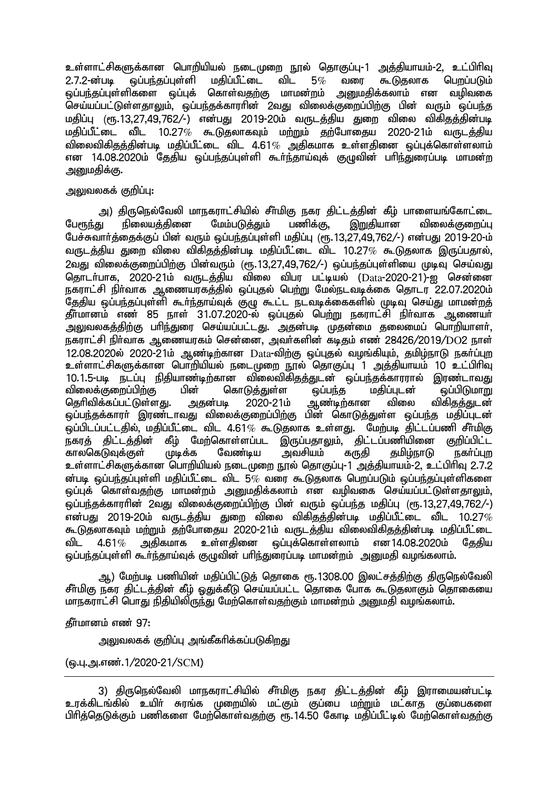உள்ளாட்சிகளுக்கான பொறியியல் நடைமுறை நூல் தொகுப்பு-1 அத்தியாயம்-2, உட்பிரிவு<br>2.7.2-ன்படி வப்பந்கப்பள்ளி மகிப்பீட்டை விட 5*%* வரை கூடுகலாக பொப்படும் 2.7.2-ன்படி ஒப்பந்தப்புள்ளி மதிப்பீட்டை விட 5% வரை கூடுதலாக பெறப்படும்<br>ஒப்பந்தப்புள்ளிகளை ஒப்புக் கொள்வதற்கு மாமன்றம் அனுமதிக்கலாம் என வழிவகை <u>ஒப்பந்த</u>ப்புள்ளிகளை ஒப்புக் கொள்வதற்கு மாமன்றம் செய்யப்பட்டுள்ளதாலும், ஒப்பந்தக்காராின் 2வது விலைக்குறைப்பிற்கு பின் வரும் ஒப்பந்த மதிப்பு (ரூ.13.27.49.762/-) என்பது 2019-20ம் வருடத்திய துறை விலை விகிதத்தின்படி  $\mu$ ந்திப்பீட்டை விட 10.27% கூடுதலாகவும் மற்றும் தற்போதைய 2020-21ம் வருடத்திய விலைவிகிகக்கின்படி மகிப்பீட்டை விட 4.61 $\%$  அகிகமாக உள்ளகினை ஒப்புக்கொள்ளலாம் என 14.08.2020ம் தேதிய ஒப்பந்தப்புள்ளி கூர்ந்தாய்வுக் குழுவின் பரிந்துரைப்படி மாமன்ற அறுமகிக்கு.

#### அலுவலகக் குறிப்பு:

அ) திருநெல்வேலி மாநகராட்சியில் சீா்மிகு நகர திட்டத்தின் கீழ் பாளையங்கோட்டை<br>கட நிலையக்கினை மேம்படுக்கும் பணிக்கு, இறுகியான விலைக்குறைப்ப பேரூந்து நிலையத்தினை மேம்படுத்தும் பணிக்கு, இறுதியான விலைக்குறைப்பு பேச்சுவார்த்தைக்குப் பின் வரும் ஒப்பந்தப்புள்ளி மதிப்பு (ரூ. 13,27,49,762/-) என்பது 2019-20-ம் வருடக்கிய துறை விலை விகிகுக்கின்படி மதிப்பீட்டை விட 10.27 $\%$  கூடுதலாக இருப்பதால்,  $2$ வது விலைக்குறைப்பிற்கு பின்வரும் (ரூ.13.27.49.762/-) ஒப்பந்தப்புள்ளியை முடிவு செய்வது சொடர்பாக, 2020-21ம் வருடக்கிய விலை விபர பட்டியல் (Data-2020-21)-ஐ சென்னை நகராட்சி நிர்வாக ஆணையரகத்தில் ஒப்புதல் பெற்று மேல்நடவடிக்கை தொடர் 22.07.2020ம் .<br>தேதிய ஒப்பந்தப்புள்ளி கூா்ந்தாய்வுக் குழு கூட்ட நடவடிக்கைகளில் முடிவு செய்து மாமன்றத் <u>தீர்மானம் எண் 85 நாள் 31.07.2020-ல் ஒப்புத</u>ல் பெ<u>ற்று ந</u>கராட்சி நிர்வாக ஆணையர் .<br>அலுவலகத்திற்கு பரிந்துரை செய்யப்பட்டது. அதன்படி முதன்மை தலைமைப் பொறியாளர், நகராட்சி நிர்வாக ஆணையரகம் சென்னை, அவர்களின் கடிகும் எண் 28426/2019/DO2 நாள்  $12.08.2020$ ல்  $2020$ - $21$ ம் ஆண்டிற்கான  $Data$ -விற்கு ஒப்புதல் வழங்கியும், தமிழ்நாடு நகர்ப்புற உள்ளாட்சிகளுக்கான பொறியியல் நடைமுறை நால் கொகுப்ப<sup>்</sup>1 அக்கியாயம் 10 உட்பிரிவ 10.1.5-படி நடப்பு நிதியாண்டிற்கான விலைவிகிதத்துடன் ஒப்பந்தக்காரரால் இரண்டாவது<br>விலைக்குறைப்பிற்கு பின் கொடுத்துள்ள ஒப்பந்த மதிப்புடன் ஒப்பிடுமாறு விலைக்குறைப்பிற்கு பின் கொடுத்துள்ள தப்பந்த மதிப்புடன் தப்பிடுமாறு<br>தெரிவிக்கப்பட்டுள்ளது. அதன்படி 2020-21ம் ஆண்டிற்கான விலை விகிதத்துடன் தெரிவிக்கப்பட்டுள்ளது. அதன்படி 2020-21ம் ஒப்பந்தக்காரா் இரண்டாவது விலைக்குறைப்பிற்கு பின் கொடுத்துள்ள ஒப்பந்த மதிப்புடன் ஒப்பிடப்பட்டதில், மதிப்பீட்டை விட 4.61*%* கூடுதலாக உள்ளது. மேற்படி திட்டப்பணி சீா்மிகு<br>நகரத் கிட்டத்தின் கீம் மேற்கொள்ளப்பட இருப்பதாலும். கிட்டப்பணியினை குறிப்பிட்ட கீழ் மேற்கொள்ளப்பட இருப்பதாலும், திட்டப்பணியினை<br>முடிக்க வேண்டிய அவசியம் கருதி தமிழ்நாடு காலகெடுவுக்குள் முடிக்க வேண்டிய அவசியம் கருதி தமிழ்நாடு நகர்ப்புற உள்ளாட்சிகளுக்கான பொறியியல் நடைமுறை நூல் தொகுப்பு-1 அத்தியாயம்-2, உட்பிரிவு 2.7.2 ன்படி ஓப்பந்தப்புள்ளி மகிப்பீட்டை விட 5 $\%$  வரை கூடுகலாக பெறப்படும் ஓப்பந்தப்புள்ளிகளை ஒப்புக் கொள்வதற்கு மாமன்றம் அனுமதிக்கலாம் என வழிவகை செய்யப்பட்டுள்ளதாலும், <u>ஒ</u>ப்பந்தக்காரரின் 2வது விலைக்குறைப்பிற்கு பின் வரும் ஒப்பந்த மதிப்பு (ரூ.13.27.49.762/-)  $\tilde{g}$ ன்பது 2019-20ம் வருடத்திய துறை விலை விகிதத்தின்படி மதிப்பீட்டை விட 10.27 $\%$ கூடுதலாகவும் மற்றும் தற்போதைய 2020-21ம் வருடத்திய விலைவிகிதத்தின்படி மதிப்பீட்டை<br>விட 4.61 $\%$  அதிகமாக உள்ளதினை ஒப்புக்கொள்ளலாம் என14.08.2020ம் கேகிய விட 4.61 $\%$  அதிகமாக உள்ளதினை ஒப்புக்கொள்ளலாம் என $14.08.2020$ ம் கேகிய ஒப்பந்தப்புள்ளி கூா்ந்தாய்வுக் குழுவின் பாிந்துரைப்படி மாமன்றம் அனுமதி வழங்கலாம்.

ஆ) மேற்படி பணியின் மதிப்பிட்டுத் தொகை ரூ.1308.00 இலட்சத்திற்கு திருநெல்வேலி சீர்மிகு நகர திட்டத்தின் கீழ் ஒதுக்கீடு செய்யப்பட்ட தொகை போக கூடுதலாகும் தொகையை மாநகராட்சி பொது நிதியிலிருந்து மேற்கொள்வதற்கும் மாமன்றம் அனுமதி வழங்கலாம்.

 $\delta$ ர்புமானம் எண் $\,$  97:

அலுவலகக் குறிப்பு அங்கீகாிக்கப்படுகிறது

(டைபு.அ.எண்.1/2020-21/SCM)

<sup>3)</sup> திருநெல்வேலி மாநகராட்சியில் சீர்மிகு நகர திட்டத்தின் கீழ் இராமையன்பட்டி உரக்கிடங்கில் உயிர் சுரங்க முறையில் மட்கும் குப்பை ம<u>ற்று</u>ம் மட்காத குப்பைகளை பிரித்தெடுக்கும் பணிகளை மேற்கொள்வதற்கு ரூ. 14.50 கோடி மதிப்பீட்டில் மேற்கொள்வதற்கு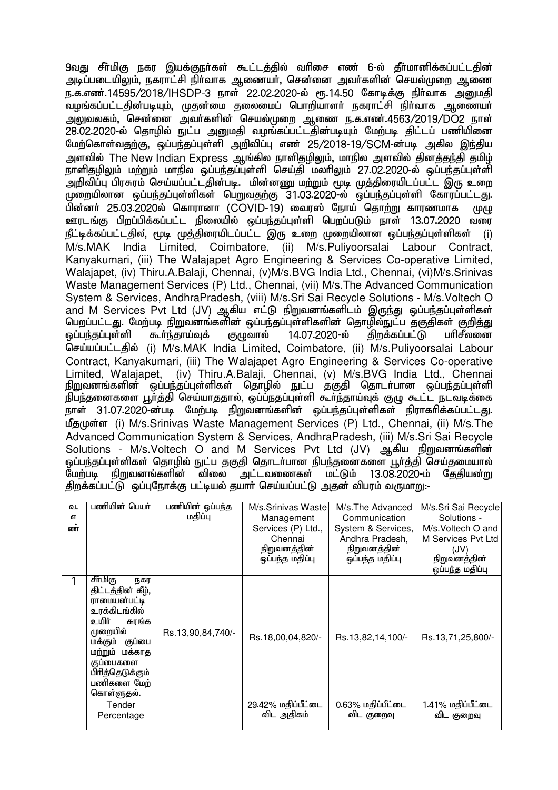9வது சீர்மிகு நகர இயக்குநர்கள் கூட்டத்தில் வரிசை எண் 6-ல் தீர்மானிக்கப்பட்டதின் அடிப்படையிலும், நகராட்சி நிா்வாக ஆணையா், சென்னை அவா்களின் செயல்முறை ஆணை ந.க.எண்.14595/2018/IHSDP-3 நாள் 22.02.2020-ல் ரூ.14.50 கோடிக்கு நிர்வாக அறுமதி வழங்கப்பட்டதின்படியும், முதன்மை தலைமைப் பொறியாளா் நகராட்சி நிா்வாக ஆணையா் அலுவலகம், சென்னை அவர்களின் செயல்முறை ஆணை ந.க.எண்.4563/2019/DO2 நாள் 28.02.2020-ல் தொழில் நுட்ப அனுமதி வழங்கப்பட்டதின்படியும் மேற்படி திட்டப் பணியினை மேற்கொள்வதற்கு, ஓப்பந்தப்புள்ளி அறிவிப்பு எண் 25/2018-19/SCM-ன்படி அகில இந்திய அளவில் The New Indian Express ஆங்கில நாளிகுமிலும், மாநில அளவில் கினக்குந்தி குமிழ் .<br>நாளிதழிலும் மற்றும் மாநில ஒப்பந்தப்புள்ளி செய்தி மலாிலும் 27.02.2020-ல் ஒப்பர்கப்பள்ளி ்அறிவிப்பு பிரசுரம் செய்யப்பட்டதின்படி. மின்னணு மற்றும் மூடி முத்திரையிடப்பட்ட இரு உறை முறையிலான ஒப்பந்தப்புள்ளிகள் பெறுவதற்கு 31.03.2020-ல் ஒப்பந்தப்புள்ளி கோரப்பட்டது. பின்னர் 25.03.2020ல் கொரானா (COVID-19) வைரஸ் நோய் தொற்று காரணமாக முழு ஊரடங்கு பிறப்பிக்கப்பட்ட நிலையில் ஒப்பந்தப்புள்ளி பெறப்படும் நாள் 13.07.2020 வரை நீட்டிக்கப்பட்டதில், மூடி முக்கிரையிடப்பட்ட இரு உறை முறையிலான ஒப்பந்தப்புள்ளிகள் M/s.MAK India Limited, Coimbatore, (ii) M/s.Puliyoorsalai Labour Contract, Kanyakumari, (iii) The Walajapet Agro Engineering & Services Co-operative Limited, Walajapet, (iv) Thiru.A.Balaji, Chennai, (v)M/s.BVG India Ltd., Chennai, (vi)M/s.Srinivas Waste Management Services (P) Ltd., Chennai, (vii) M/s.The Advanced Communication System & Services, AndhraPradesh, (viii) M/s.Sri Sai Recycle Solutions - M/s.Voltech O and M Services Pvt Ltd (JV) ஆகிய எட்டு நிறுவனங்களிடம் இருந்து ஒப்பந்தப்புள்ளிகள் பெறப்பட்டது. மேற்படி நிறுவனங்களின் ஒப்பந்தப்புள்ளிகளின் தொழில்நுட்ப தகுதிகள் குறித்து<br>ஒப்பந்தப்புள்ளி கூா்ந்தாய்வுக் குழுவால் 14.07.2020-ல் கிறக்கப்பட்டு பாிசீலனை <u>ஓப்பந்தப்புள்ளி கூர்ந்தாய்வுக் குமுவால் 14.07.2020-ல் திறக்கப்பட்டு பரிசீலனை </u> செய்யப்பட்டதில் (i) M/s.MAK India Limited, Coimbatore, (ii) M/s.Puliyoorsalai Labour Contract, Kanyakumari, (iii) The Walajapet Agro Engineering & Services Co-operative Limited, Walajapet, (iv) Thiru.A.Balaji, Chennai, (v) M/s.BVG India Ltd., Chennai நிறுவனங்களின் ஒப்பந்தப்புள்ளிகள் தொழில் நுட்ப தகுதி தொடா்பான ஒப்பந்தப்புள்ளி .<br>நிபந்தனைகளை பூர்த்தி செய்யாததால், ஒப்ப்நதப்புள்ளி கூர்ந்தாய்வுக் குழு கூட்ட நடவடிக்கை நாள் 31.07.2020-ன்படி மேற்படி நிறுவனங்களின் ஒப்பந்தப்புள்ளிகள் நிராகரிக்கப்பட்டது. மீதமுள்ள (i) M/s.Srinivas Waste Management Services (P) Ltd., Chennai, (ii) M/s.The Advanced Communication System & Services, AndhraPradesh, (iii) M/s.Sri Sai Recycle Solutions - M/s.Voltech O and M Services Pvt Ltd (JV) ஆகிய நிறுவனங்களின் ஒப்பந்தப்புள்ளிகள் தொழில் நுட்ப தகுதி தொடா்பான நிபந்தனைகளை பூா்த்தி செய்தமையால்<br>மேற்படி நிறுவனங்களின் விலை அட்டவணைகள் மட்டும் 13.08.2020-ம் கேதியன்று மேற்படி நிறுவனங்களின் விலை அட்டவணைகள் மட்டும் 13.08.2020-ம் தேதியன்று திறக்கப்பட்டு ஒப்புநோக்கு பட்டியல் தயார் செய்யப்பட்டு அதன் விபரம் வருமாறு:-

| வ.<br>எ<br>ண | பணியின் பெயர்                                                                                                                                                                                             | பணியின் ஒப்பந்த<br>மதிப்பு | M/s.Srinivas Waste<br>Management<br>Services (P) Ltd.,<br>Chennai<br>நிறுவனத்தின்<br>ஒப்பந்த மதிப்பு | M/s. The Advanced<br>Communication<br>System & Services,<br>Andhra Pradesh,<br>நிறுவனத்தின்<br>ஒப்பந்த மதிப்பு | M/s.Sri Sai Recycle<br>Solutions -<br>M/s. Voltech O and<br>M Services Pyt Ltd<br>(JV)<br>நிறுவனத்தின்<br>ஒப்பந்த மதிப்பு |
|--------------|-----------------------------------------------------------------------------------------------------------------------------------------------------------------------------------------------------------|----------------------------|------------------------------------------------------------------------------------------------------|----------------------------------------------------------------------------------------------------------------|---------------------------------------------------------------------------------------------------------------------------|
|              | சீர்மிகு<br>நகர<br>திட்டத்தின் கீழ்,<br>ராமையன்பட்டி<br>உரக்கிடங்கில்<br>உயிர்<br>சுரங்க<br>முறையில்<br>குப்பை<br>மக்கும்<br>மற்றும் மக்காத<br>குப்பைகளை<br>பிரித்தெடுக்கும்<br>பணிகளை மேற்<br>கொள்ளுதல். | Rs.13,90,84,740/-          | Rs.18,00,04,820/-                                                                                    | Rs.13,82,14,100/-                                                                                              | Rs.13,71,25,800/-                                                                                                         |
|              | Tender<br>Percentage                                                                                                                                                                                      |                            | 29.42% மதிப்பீட்டை<br>விட அதிகம்                                                                     | 0.63% மதிப்பீட்டை<br>விட குறைவு                                                                                | 1.41% மதிப்பீட்டை<br>விட குறைவு                                                                                           |